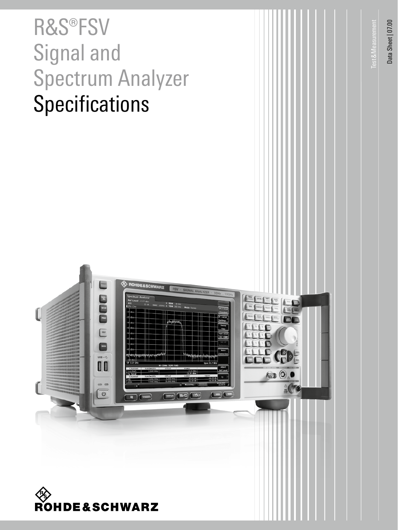# R&S®FSV Signal and Spectrum Analyzer **Specifications**



Test&Measurement



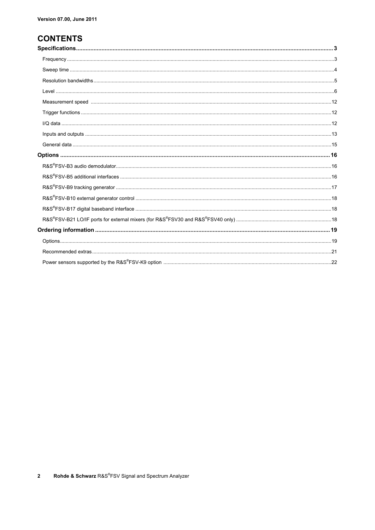# **CONTENTS**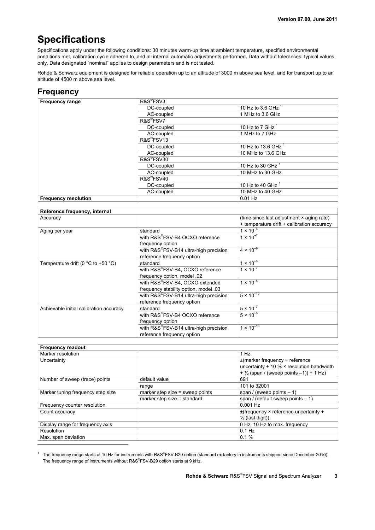# **Specifications**

Specifications apply under the following conditions: 30 minutes warm-up time at ambient temperature, specified environmental conditions met, calibration cycle adhered to, and all internal automatic adjustments performed. Data without tolerances: typical values only. Data designated "nominal" applies to design parameters and is not tested.

Rohde & Schwarz equipment is designed for reliable operation up to an altitude of 3000 m above sea level, and for transport up to an altitude of 4500 m above sea level.

#### **Frequency**

| <b>Frequency range</b>      | R&S®FSV3               |                            |
|-----------------------------|------------------------|----------------------------|
|                             | DC-coupled             | 10 Hz to 3.6 GHz $^1$      |
|                             | AC-coupled             | 1 MHz to 3.6 GHz           |
|                             | R&S®FSV7               |                            |
|                             | DC-coupled             | 10 Hz to 7 GHz $^{\circ}$  |
|                             | AC-coupled             | 1 MHz to 7 GHz             |
|                             | R&S <sup>®</sup> FSV13 |                            |
|                             | DC-coupled             | 10 Hz to 13.6 GHz          |
|                             | AC-coupled             | 10 MHz to 13.6 GHz         |
|                             | R&S <sup>®</sup> FSV30 |                            |
|                             | DC-coupled             | 10 Hz to 30 GHz $^{\circ}$ |
|                             | AC-coupled             | 10 MHz to 30 GHz           |
|                             | R&S <sup>®</sup> FSV40 |                            |
|                             | DC-coupled             | 10 Hz to 40 GHz            |
|                             | AC-coupled             | 10 MHz to 40 GHz           |
| <b>Frequency resolution</b> |                        | $0.01$ Hz                  |

| Reference frequency, internal                          |                                                    |                                            |
|--------------------------------------------------------|----------------------------------------------------|--------------------------------------------|
| Accuracy                                               |                                                    | (time since last adjustment × aging rate)  |
|                                                        |                                                    | + temperature drift + calibration accuracy |
| Aging per year                                         | standard                                           | $1 \times 10^{-6}$                         |
|                                                        | with R&S®FSV-B4 OCXO reference                     | $1 \times 10^{-7}$                         |
|                                                        | frequency option                                   |                                            |
|                                                        | with R&S <sup>®</sup> FSV-B14 ultra-high precision | $4 \times 10^{-9}$                         |
|                                                        | reference frequency option                         |                                            |
| Temperature drift (0 $^{\circ}$ C to +50 $^{\circ}$ C) | standard                                           | $1 \times 10^{-6}$                         |
|                                                        | with R&S®FSV-B4, OCXO reference                    | $1 \times 10^{-7}$                         |
|                                                        | frequency option, model .02                        |                                            |
|                                                        | with R&S®FSV-B4, OCXO extended                     | $1 \times 10^{-8}$                         |
|                                                        | frequency stability option, model .03              |                                            |
|                                                        | with R&S <sup>®</sup> FSV-B14 ultra-high precision | $5 \times 10^{-10}$                        |
|                                                        | reference frequency option                         |                                            |
| Achievable initial calibration accuracy                | standard                                           | $5 \times 10^{-7}$                         |
|                                                        | with R&S®FSV-B4 OCXO reference                     | $5 \times 10^{-8}$                         |
|                                                        | frequency option                                   |                                            |
|                                                        | with R&S®FSV-B14 ultra-high precision              | $1 \times 10^{-10}$                        |
|                                                        | reference frequency option                         |                                            |

| <b>Frequency readout</b>          |                                   |                                                           |
|-----------------------------------|-----------------------------------|-----------------------------------------------------------|
| Marker resolution                 |                                   | 1 Hz                                                      |
| Uncertainty                       |                                   | $\pm$ (marker frequency $\times$ reference                |
|                                   |                                   | uncertainty + 10 % $\times$ resolution bandwidth          |
|                                   |                                   | $+$ 1/ <sub>2</sub> (span / (sweep points $-1$ )) + 1 Hz) |
| Number of sweep (trace) points    | default value                     | 691                                                       |
|                                   | range                             | 101 to 32001                                              |
| Marker tuning frequency step size | marker step size $=$ sweep points | span / (sweep points $-1$ )                               |
|                                   | marker step size = standard       | span / (default sweep points $-1$ )                       |
| Frequency counter resolution      |                                   | $0.001$ Hz                                                |
| Count accuracy                    |                                   | ±(frequency × reference uncertainty +                     |
|                                   |                                   | $\frac{1}{2}$ (last digit))                               |
| Display range for frequency axis  |                                   | 0 Hz, 10 Hz to max. frequency                             |
| Resolution                        |                                   | $0.1$ Hz                                                  |
| Max. span deviation               |                                   | 0.1%                                                      |
|                                   |                                   |                                                           |

<sup>1</sup> The frequency range starts at 10 Hz for instruments with R&S®FSV-B29 option (standard ex factory in instruments shipped since December 2010). The frequency range of instruments without R&S®FSV-B29 option starts at 9 kHz.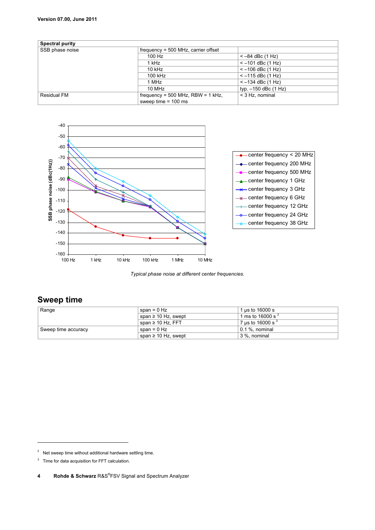| Spectral purity |                                        |                          |
|-----------------|----------------------------------------|--------------------------|
| SSB phase noise | $frequency = 500 MHz$ , carrier offset |                          |
|                 | $100$ Hz                               | $<-84$ dBc (1 Hz)        |
|                 | 1 kHz                                  | $\le$ -101 dBc (1 Hz)    |
|                 | 10 kHz                                 | $\le$ -106 dBc (1 Hz)    |
|                 | 100 kHz                                | $<-115$ dBc (1 Hz)       |
|                 | 1 MHz                                  | $<-134$ dBc (1 Hz)       |
|                 | 10 MHz                                 | typ. $-150$ dBc $(1$ Hz) |
| Residual FM     | frequency = $500$ MHz, RBW = 1 kHz,    | < 3 Hz. nominal          |
|                 | sweep time $= 100$ ms                  |                          |





## **Sweep time**

| Range               | span = $0$ Hz            | 1 us to 16000 s           |
|---------------------|--------------------------|---------------------------|
|                     | span $\geq 10$ Hz, swept | 1 ms to 16000 s $\degree$ |
|                     | span $\geq$ 10 Hz. FFT   | 7 us to 16000 s $3$       |
| Sweep time accuracy | span = $0$ Hz            | ∣ 0.1 %. nominal          |
|                     | span $\geq 10$ Hz, swept | 3 %, nominal              |

 $2$  Net sweep time without additional hardware settling time.

 $3$  Time for data acquisition for FFT calculation.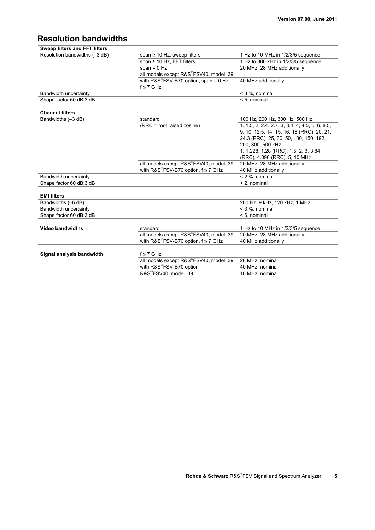# **Resolution bandwidths**

| Sweep filters and FFT filters |                                                        |                                     |
|-------------------------------|--------------------------------------------------------|-------------------------------------|
| Resolution bandwidths (-3 dB) | span $\geq$ 10 Hz, sweep filters                       | 1 Hz to 10 MHz in 1/2/3/5 sequence  |
|                               | span $\geq$ 10 Hz, FFT filters                         | 1 Hz to 300 kHz in 1/2/3/5 sequence |
|                               | span = $0$ Hz,                                         | 20 MHz, 28 MHz additionally         |
|                               | all models except R&S®FSV40, model .39                 |                                     |
|                               | with $R\&S^{\circledast}$ FSV-B70 option, span = 0 Hz, | 40 MHz additionally                 |
|                               | f≤7 GHz                                                |                                     |
| Bandwidth uncertainty         |                                                        | $<$ 3 %, nominal                    |
| Shape factor 60 dB:3 dB       |                                                        | $< 5.$ nominal                      |

| <b>Channel filters</b>  |                                                  |                                                 |
|-------------------------|--------------------------------------------------|-------------------------------------------------|
| Bandwidths (-3 dB)      | standard                                         | 100 Hz, 200 Hz, 300 Hz, 500 Hz                  |
|                         | (RRC = root raised cosine)                       | 1, 1.5, 2, 2.4, 2.7, 3, 3.4, 4, 4.5, 5, 6, 8.5, |
|                         |                                                  | 9, 10, 12.5, 14, 15, 16, 18 (RRC), 20, 21,      |
|                         |                                                  | 24.3 (RRC), 25, 30, 50, 100, 150, 192,          |
|                         |                                                  | 200, 300, 500 kHz                               |
|                         |                                                  | 1, 1.228, 1.28 (RRC), 1.5, 2, 3, 3.84           |
|                         |                                                  | (RRC), 4.096 (RRC), 5, 10 MHz                   |
|                         | all models except R&S®FSV40, model .39           | 20 MHz, 28 MHz additionally                     |
|                         | with $RAS^{\circ}FSV-B70$ option, $f \leq 7$ GHz | 40 MHz additionally                             |
| Bandwidth uncertainty   |                                                  | $<$ 2 %, nominal                                |
| Shape factor 60 dB:3 dB |                                                  | $<$ 2. nominal                                  |

| <b>EMI filters</b>      |                               |  |
|-------------------------|-------------------------------|--|
| Bandwidths (-6 dB)      | 200 Hz. 9 kHz. 120 kHz. 1 MHz |  |
| Bandwidth uncertainty   | $<$ 3 %, nominal              |  |
| Shape factor 60 dB:3 dB | ≤ 6. nominal                  |  |
|                         |                               |  |

| <b>Video bandwidths</b>   | standard                                               | 1 Hz to 10 MHz in 1/2/3/5 sequence |
|---------------------------|--------------------------------------------------------|------------------------------------|
|                           | all models except R&S <sup>®</sup> FSV40, model .39    | 20 MHz, 28 MHz additionally        |
|                           | with $RAS^{\circledast}FSV-B70$ option, $f \leq 7$ GHz | 40 MHz additionally                |
|                           |                                                        |                                    |
| Signal analysis bandwidth | f ≤ 7 GHz                                              |                                    |
|                           | all models except R&S <sup>®</sup> FSV40, model .39    | 28 MHz, nominal                    |
|                           | with R&S <sup>®</sup> FSV-B70 option                   | 40 MHz. nominal                    |
|                           | R&S®FSV40, model .39                                   | 10 MHz. nominal                    |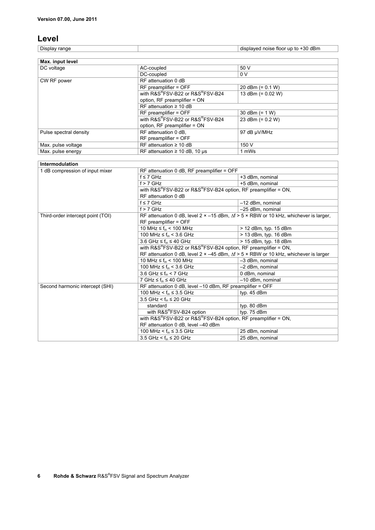### **Level**

| $\overline{\phantom{a}}$<br>. JIS'<br>anae<br>.<br><br>JUId⊻ | dBr<br>71 <i>U</i><br>າດເຣເ<br><b>floor</b><br>۰. ۲<br>w<br>- 11 1 |
|--------------------------------------------------------------|--------------------------------------------------------------------|
|                                                              |                                                                    |

| Max. input level       |                                    |                     |
|------------------------|------------------------------------|---------------------|
| DC voltage             | AC-coupled                         | 50 V                |
|                        | DC-coupled                         | 0 V                 |
| CW RF power            | RF attenuation 0 dB                |                     |
|                        | $RF$ preamplifier = $OFF$          | 20 dBm $(= 0.1 W)$  |
|                        | with R&S®FSV-B22 or R&S®FSV-B24    | 13 dBm $(= 0.02 W)$ |
|                        | option, RF preamplifier = ON       |                     |
|                        | RF attenuation $\geq 10$ dB        |                     |
|                        | $RF$ preamplifier = $OFF$          | 30 dBm $(= 1 W)$    |
|                        | with R&S®FSV-B22 or R&S®FSV-B24    | 23 dBm $(= 0.2 W)$  |
|                        | option, RF preamplifier = ON       |                     |
| Pulse spectral density | RF attenuation 0 dB.               | 97 dB µV/MHz        |
|                        | $RF$ preamplifier = $OFF$          |                     |
| Max. pulse voltage     | RF attenuation $\geq 10$ dB        | 150 V               |
| Max. pulse energy      | RF attenuation $\geq 10$ dB, 10 µs | 1 mWs               |

 $\overline{\phantom{a}}$ 

#### **Intermodulation**

| 1 dB compression of input mixer   | RF attenuation 0 dB, RF preamplifier = OFF                                                               |                         |
|-----------------------------------|----------------------------------------------------------------------------------------------------------|-------------------------|
|                                   | $f \leq 7$ GHz                                                                                           | +3 dBm, nominal         |
|                                   | $f > 7$ GHz                                                                                              | +5 dBm. nominal         |
|                                   | with $RAS^{\circ}$ FSV-B22 or $RAS^{\circ}$ FSV-B24 option, RF preamplifier = ON,                        |                         |
|                                   | RF attenuation 0 dB                                                                                      |                         |
|                                   | $f \leq 7$ GHz                                                                                           | -12 dBm, nominal        |
|                                   | $f > 7$ GHz                                                                                              | -25 dBm, nominal        |
| Third-order intercept point (TOI) | RF attenuation 0 dB, level $2 \times -15$ dBm, $\Delta f > 5 \times$ RBW or 10 kHz, whichever is larger, |                         |
|                                   | $RF$ preamplifier = $OFF$                                                                                |                         |
|                                   | 10 MHz $\le$ f <sub>in</sub> < 100 MHz                                                                   | $>$ 12 dBm, typ. 15 dBm |
|                                   | 100 MHz $\le$ f <sub>in</sub> < 3.6 GHz                                                                  | > 13 dBm, typ. 16 dBm   |
|                                   | 3.6 GHz $\leq f_{in} \leq 40$ GHz                                                                        | > 15 dBm, typ. 18 dBm   |
|                                   | with $RAS^{\circledast}FSV-B22$ or $RAS^{\circledast}FSV-B24$ option, RF preamplifier = ON,              |                         |
|                                   | RF attenuation 0 dB, level 2 $\times$ -45 dBm, $\Delta f > 5 \times$ RBW or 10 kHz, whichever is larger  |                         |
|                                   | 10 MHz $\leq f_{in}$ < 100 MHz                                                                           | -3 dBm, nominal         |
|                                   | 100 MHz $\le$ f <sub>in</sub> < 3.6 GHz                                                                  | -2 dBm. nominal         |
|                                   | 3.6 GHz $\leq$ f <sub>in</sub> < 7 GHz                                                                   | 0 dBm, nominal          |
|                                   | 7 GHz $\leq f_{in} \leq 40$ GHz                                                                          | -10 dBm, nominal        |
| Second harmonic intercept (SHI)   | RF attenuation 0 dB, level $-10$ dBm, RF preamplifier = OFF                                              |                         |
|                                   | 100 MHz < $f_{in}$ $\leq$ 3.5 GHz                                                                        | typ. 45 dBm             |
|                                   | 3.5 GHz < $f_{in}$ $\leq$ 20 GHz                                                                         |                         |
|                                   | standard                                                                                                 | typ. 80 dBm             |
|                                   | with R&S®FSV-B24 option                                                                                  | typ. 75 dBm             |
|                                   | with R&S <sup>®</sup> FSV-B22 or R&S <sup>®</sup> FSV-B24 option, RF preamplifier = ON,                  |                         |
|                                   | RF attenuation 0 dB, level -40 dBm                                                                       |                         |
|                                   | 100 MHz < $f_{in}$ $\leq$ 3.5 GHz                                                                        | 25 dBm, nominal         |
|                                   | 3.5 GHz < $f_{in}$ $\leq$ 20 GHz                                                                         | 25 dBm, nominal         |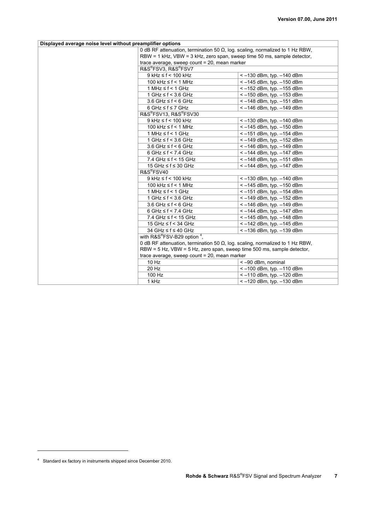| Displayed average noise level without preamplifier options |                                                                                      |                                         |  |
|------------------------------------------------------------|--------------------------------------------------------------------------------------|-----------------------------------------|--|
|                                                            | 0 dB RF attenuation, termination 50 $\Omega$ , log. scaling, normalized to 1 Hz RBW, |                                         |  |
|                                                            | RBW = 1 kHz, VBW = 3 kHz, zero span, sweep time 50 ms, sample detector,              |                                         |  |
|                                                            | trace average, sweep count = 20, mean marker<br>R&S®FSV3, R&S®FSV7                   |                                         |  |
|                                                            |                                                                                      |                                         |  |
|                                                            | $9$ kHz $\leq$ f < 100 kHz                                                           | $\le$ -130 dBm, typ. -140 dBm           |  |
|                                                            | 100 kHz $\leq$ f < 1 MHz                                                             | $<-145$ dBm, typ. $-150$ dBm            |  |
|                                                            | $1$ MHz $\leq$ f $\leq$ 1 GHz                                                        | $\le$ -152 dBm, typ. -155 dBm           |  |
|                                                            | $1$ GHz $\leq$ f < 3.6 GHz                                                           | $\overline{<-}150$ dBm, typ. $-153$ dBm |  |
|                                                            | $3.6$ GHz $\leq$ f < 6 GHz                                                           | <- 148 dBm, typ. - 151 dBm              |  |
|                                                            | 6 GHz ≤ $f$ ≤ 7 GHz                                                                  | <- 146 dBm, typ. - 149 dBm              |  |
|                                                            | R&S®FSV13, R&S®FSV30                                                                 |                                         |  |
|                                                            | $9$ kHz $\leq$ f < 100 kHz                                                           | $\le$ -130 dBm, typ. -140 dBm           |  |
|                                                            | 100 kHz $\leq$ f < 1 MHz                                                             | $\le$ -145 dBm, typ. -150 dBm           |  |
|                                                            | $1$ MHz $\leq$ f $\leq$ 1 GHz                                                        | $<-151$ dBm, typ. $-154$ dBm            |  |
|                                                            | $1$ GHz $\leq$ f < 3.6 GHz                                                           | $\le$ -149 dBm, typ. -152 dBm           |  |
|                                                            | $3.6$ GHz $\leq$ f < 6 GHz                                                           | $\le$ -146 dBm, typ. -149 dBm           |  |
|                                                            | 6 GHz ≤ f < 7.4 GHz                                                                  | $\le$ -144 dBm, typ. -147 dBm           |  |
|                                                            | 7.4 GHz ≤ f < 15 GHz                                                                 | $<-148$ dBm, typ. $-151$ dBm            |  |
|                                                            | 15 GHz ≤ f ≤ 30 GHz                                                                  | <- 144 dBm, typ. - 147 dBm              |  |
|                                                            | R&S®FSV40                                                                            |                                         |  |
|                                                            | $9$ kHz $\leq$ f < 100 kHz                                                           | $\le$ -130 dBm, typ. -140 dBm           |  |
|                                                            | 100 kHz $\leq$ f < 1 MHz                                                             | $<-145$ dBm, typ. $-150$ dBm            |  |
|                                                            | $1 MHz \leq f < 1 GHz$                                                               | $<-151$ dBm, typ. $-154$ dBm            |  |
|                                                            | $1$ GHz $\leq$ f < 3.6 GHz                                                           | <- 149 dBm, typ. - 152 dBm              |  |
|                                                            | $3.6$ GHz $\leq$ f < 6 GHz                                                           | <- 146 dBm, typ. - 149 dBm              |  |
|                                                            | 6 GHz ≤ $f$ < 7.4 GHz                                                                | $\le$ -144 dBm, typ. -147 dBm           |  |
|                                                            | 7.4 GHz $\leq$ f < 15 GHz                                                            | $\le$ -145 dBm, typ. -148 dBm           |  |
|                                                            | 15 GHz ≤ f < 34 GHz                                                                  | $\le$ -142 dBm, typ. -145 dBm           |  |
|                                                            | 34 GHz $\leq$ f $\leq$ 40 GHz                                                        | $\le$ -136 dBm, typ. -139 dBm           |  |
|                                                            | with $RAS^{\circ}$ FSV-B29 option $4$ ,                                              |                                         |  |
|                                                            | 0 dB RF attenuation, termination 50 $\Omega$ , log. scaling, normalized to 1 Hz RBW, |                                         |  |
|                                                            | RBW = 5 Hz, VBW = 5 Hz, zero span, sweep time 500 ms, sample detector,               |                                         |  |
|                                                            | trace average, sweep count $= 20$ , mean marker                                      |                                         |  |
|                                                            | $10$ Hz                                                                              | <-90 dBm, nominal                       |  |
|                                                            | 20 Hz                                                                                | <- 100 dBm, typ. - 110 dBm              |  |
|                                                            | 100 Hz                                                                               | $\le$ -110 dBm, typ. -120 dBm           |  |
|                                                            | 1 kHz                                                                                | $\le$ -120 dBm, typ. -130 dBm           |  |

<sup>&</sup>lt;sup>4</sup> Standard ex factory in instruments shipped since December 2010.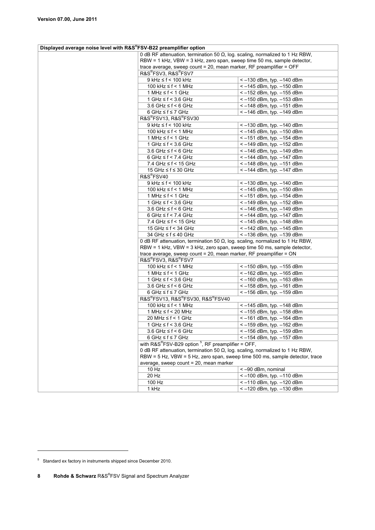| Displayed average noise level with R&S®FSV-B22 preamplifier option |                                                                                      |                                        |
|--------------------------------------------------------------------|--------------------------------------------------------------------------------------|----------------------------------------|
|                                                                    | 0 dB RF attenuation, termination 50 $\Omega$ , log. scaling, normalized to 1 Hz RBW, |                                        |
|                                                                    | RBW = 1 kHz, VBW = 3 kHz, zero span, sweep time 50 ms, sample detector,              |                                        |
|                                                                    | trace average, sweep count = 20, mean marker, RF preamplifier = $OFF$                |                                        |
|                                                                    | R&S®FSV3, R&S®FSV7                                                                   |                                        |
|                                                                    | $9$ kHz $\leq$ f < 100 kHz                                                           | <-130 dBm, typ. -140 dBm               |
|                                                                    | 100 kHz $\leq$ f < 1 MHz                                                             | $<-145$ dBm, typ. $-150$ dBm           |
|                                                                    | $1$ MHz $\leq$ f < 1 GHz                                                             | <-152 dBm, typ. -155 dBm               |
|                                                                    | $1$ GHz $\leq$ f < 3.6 GHz                                                           | <- 150 dBm, typ. - 153 dBm             |
|                                                                    | $3.6$ GHz $\leq$ f < 6 GHz                                                           | <-148 dBm, typ. -151 dBm               |
|                                                                    | 6 GHz ≤ $f$ ≤ 7 GHz                                                                  | $\le$ -146 dBm, typ. -149 dBm          |
|                                                                    | R&S®FSV13, R&S®FSV30                                                                 |                                        |
|                                                                    | $9$ kHz $\leq$ f < 100 kHz                                                           | <-130 dBm, typ. -140 dBm               |
|                                                                    | 100 kHz $\leq$ f < 1 MHz                                                             | <- 145 dBm, typ. - 150 dBm             |
|                                                                    | 1 MHz $\leq$ f < 1 GHz                                                               | $\le$ -151 dBm, typ. -154 dBm          |
|                                                                    | $1$ GHz $\leq$ f < 3.6 GHz                                                           | $<-149$ dBm, typ. $-152$ dBm           |
|                                                                    | $3.6$ GHz $\leq$ f < 6 GHz                                                           | <-146 dBm, typ. -149 dBm               |
|                                                                    | 6 GHz ≤ f < 7.4 GHz                                                                  | <- 144 dBm, typ. - 147 dBm             |
|                                                                    | 7.4 GHz $\leq$ f $<$ 15 GHz                                                          | <-148 dBm, typ. -151 dBm               |
|                                                                    | 15 GHz ≤ f ≤ 30 GHz                                                                  | $<-144$ dBm, typ. $-147$ dBm           |
|                                                                    | R&S <sup>®</sup> FSV40                                                               |                                        |
|                                                                    | $9$ kHz $\leq$ f < 100 kHz                                                           | $\le$ -130 dBm, typ. -140 dBm          |
|                                                                    | 100 kHz $\leq$ f < 1 MHz                                                             | <-145 dBm, typ. -150 dBm               |
|                                                                    | $1$ MHz $\leq$ f < 1 GHz                                                             | <-151 dBm, typ. -154 dBm               |
|                                                                    | $1$ GHz $\leq$ f < 3.6 GHz                                                           | <-149 dBm, typ. -152 dBm               |
|                                                                    | $3.6$ GHz $\leq$ f < 6 GHz                                                           | $\overline{<-}$ 146 dBm, typ. -149 dBm |
|                                                                    | $6$ GHz $\leq$ f < 7.4 GHz                                                           | <- 144 dBm, typ. - 147 dBm             |
|                                                                    | 7.4 GHz $\leq$ f < 15 GHz                                                            | $\le$ -145 dBm, typ. -148 dBm          |
|                                                                    | 15 GHz $\leq$ f < 34 GHz                                                             | <-142 dBm, typ. -145 dBm               |
|                                                                    | 34 GHz $\leq$ f $\leq$ 40 GHz                                                        | <- 136 dBm, typ. - 139 dBm             |
|                                                                    | 0 dB RF attenuation, termination 50 $\Omega$ , log. scaling, normalized to 1 Hz RBW, |                                        |
|                                                                    | RBW = 1 kHz, VBW = 3 kHz, zero span, sweep time 50 ms, sample detector,              |                                        |
|                                                                    | trace average, sweep count = $20$ , mean marker, RF preamplifier = $ON$              |                                        |
|                                                                    | R&S®FSV3, R&S®FSV7                                                                   |                                        |
|                                                                    | 100 kHz $\leq$ f < 1 MHz                                                             | <-150 dBm, typ. -155 dBm               |
|                                                                    | 1 MHz $\leq$ f < 1 GHz                                                               | <-162 dBm, typ. -165 dBm               |
|                                                                    | $1$ GHz $\leq$ f < 3.6 GHz                                                           | <- 160 dBm, typ. - 163 dBm             |
|                                                                    | $3.6$ GHz $\leq$ f < 6 GHz                                                           | $<-158$ dBm, typ. $-161$ dBm           |
|                                                                    | 6 GHz ≤ f ≤ 7 GHz                                                                    | $<-156$ dBm, typ. $-159$ dBm           |
|                                                                    | R&S®FSV13, R&S®FSV30, R&S®FSV40                                                      |                                        |
|                                                                    | 100 kHz $\leq$ f < 1 MHz                                                             | <-145 dBm, typ. -148 dBm               |
|                                                                    | 1 MHz $\leq$ f < 20 MHz                                                              | <-155 dBm, typ. -158 dBm               |
|                                                                    | 20 MHz ≤ f < 1 GHz                                                                   | $<-161$ dBm, typ. $-164$ dBm           |
|                                                                    | $1$ GHz $\leq$ f < 3.6 GHz                                                           | <-159 dBm, typ. -162 dBm               |
|                                                                    | $3.6$ GHz $\leq$ f < 6 GHz                                                           | $\le$ -156 dBm, typ. -159 dBm          |
|                                                                    | 6 GHz ≤ $f$ ≤ 7 GHz                                                                  | $<-154$ dBm, typ. $-157$ dBm           |
|                                                                    | with $RAS^{\circledast}FSV-B29$ option $5$ , RF preamplifier = OFF,                  |                                        |
|                                                                    | 0 dB RF attenuation, termination 50 $\Omega$ , log. scaling, normalized to 1 Hz RBW, |                                        |
|                                                                    | RBW = 5 Hz, VBW = 5 Hz, zero span, sweep time 500 ms, sample detector, trace         |                                        |
|                                                                    | average, sweep count = 20, mean marker                                               |                                        |
|                                                                    | 10 Hz                                                                                | <-90 dBm, nominal                      |
|                                                                    | 20 Hz                                                                                | $\le$ -100 dBm, typ. -110 dBm          |
|                                                                    | 100 Hz                                                                               | <-110 dBm, typ. -120 dBm               |
|                                                                    | 1 kHz                                                                                | <-120 dBm, typ. -130 dBm               |

<sup>&</sup>lt;sup>5</sup> Standard ex factory in instruments shipped since December 2010.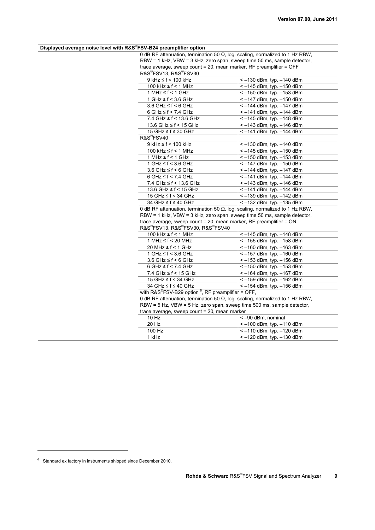| Displayed average noise level with R&S®FSV-B24 preamplifier option |                                                                                      |                                         |
|--------------------------------------------------------------------|--------------------------------------------------------------------------------------|-----------------------------------------|
|                                                                    | 0 dB RF attenuation, termination 50 $\Omega$ , log. scaling, normalized to 1 Hz RBW, |                                         |
|                                                                    | RBW = 1 kHz, VBW = 3 kHz, zero span, sweep time 50 ms, sample detector,              |                                         |
|                                                                    | trace average, sweep count $= 20$ , mean marker, RF preamplifier $=$ OFF             |                                         |
|                                                                    | R&S®FSV13, R&S®FSV30                                                                 |                                         |
|                                                                    | $9$ kHz $\leq$ f < 100 kHz                                                           | <- 130 dBm, typ. - 140 dBm              |
|                                                                    | 100 kHz $\leq$ f < 1 MHz                                                             | <- 145 dBm, typ. - 150 dBm              |
|                                                                    | 1 MHz $\leq$ f < 1 GHz                                                               | < -150 dBm, typ. -153 dBm               |
|                                                                    | $1$ GHz $\leq$ f < 3.6 GHz                                                           | <-147 dBm, typ. -150 dBm                |
|                                                                    | $3.6$ GHz $\leq$ f < 6 GHz                                                           | <- 144 dBm, typ. - 147 dBm              |
|                                                                    | $6$ GHz $\leq$ f < 7.4 GHz                                                           | $<-141$ dBm, typ. $-144$ dBm            |
|                                                                    | 7.4 GHz ≤ f < 13.6 GHz                                                               | <-145 dBm, typ. -148 dBm                |
|                                                                    | 13.6 GHz $\leq$ f < 15 GHz                                                           | $<-143$ dBm, typ. $-146$ dBm            |
|                                                                    | 15 GHz ≤ f ≤ 30 GHz                                                                  | $<-141$ dBm, typ. $-144$ dBm            |
|                                                                    | R&S <sup>®</sup> FSV40                                                               |                                         |
|                                                                    | $9$ kHz $\leq$ f < 100 kHz                                                           | <-130 dBm, typ. -140 dBm                |
|                                                                    | 100 kHz $\leq$ f < 1 MHz                                                             | <-145 dBm, typ. -150 dBm                |
|                                                                    | 1 MHz $\leq$ f < 1 GHz                                                               | $\le$ -150 dBm, typ. -153 dBm           |
|                                                                    | $1$ GHz $\leq$ f < 3.6 GHz                                                           | $\overline{<-}147$ dBm, typ. $-150$ dBm |
|                                                                    | $3.6$ GHz $\leq$ f < 6 GHz                                                           | <-144 dBm, typ. -147 dBm                |
|                                                                    | $6$ GHz $\leq$ f < 7.4 GHz                                                           | $<-141$ dBm, typ. $-144$ dBm            |
|                                                                    | 7.4 GHz ≤ f < 13.6 GHz                                                               | $<-143$ dBm, typ. $-146$ dBm            |
|                                                                    | 13.6 GHz $\leq$ f < 15 GHz                                                           | <- 141 dBm, typ. - 144 dBm              |
|                                                                    | 15 GHz $\leq$ f < 34 GHz                                                             | $\le$ -139 dBm, typ. -142 dBm           |
|                                                                    | 34 GHz $\leq$ f $\leq$ 40 GHz                                                        | $\le$ -132 dBm, typ. -135 dBm           |
|                                                                    | 0 dB RF attenuation, termination 50 $\Omega$ , log. scaling, normalized to 1 Hz RBW, |                                         |
|                                                                    | RBW = 1 kHz, VBW = 3 kHz, zero span, sweep time 50 ms, sample detector,              |                                         |
|                                                                    | trace average, sweep count = 20, mean marker, RF preamplifier = $ON$                 |                                         |
|                                                                    | R&S®FSV13, R&S®FSV30, R&S®FSV40                                                      |                                         |
|                                                                    | 100 kHz $\leq$ f < 1 MHz                                                             | <-145 dBm, typ. -148 dBm                |
|                                                                    | 1 MHz $\leq$ f < 20 MHz                                                              | $\le$ -155 dBm, typ. -158 dBm           |
|                                                                    | 20 MHz $\leq$ f < 1 GHz                                                              | <-160 dBm, typ. -163 dBm                |
|                                                                    | $1$ GHz $\leq$ f < 3.6 GHz                                                           | <- 157 dBm, typ. - 160 dBm              |
|                                                                    | $3.6$ GHz $\leq$ f < 6 GHz                                                           | <-153 dBm, typ. -156 dBm                |
|                                                                    | $6$ GHz $\leq$ f < 7.4 GHz                                                           | $\overline{<-}150$ dBm, typ. $-153$ dBm |
|                                                                    | $7.4$ GHz $\leq$ f < 15 GHz                                                          | <-164 dBm, typ. -167 dBm                |
|                                                                    | 15 GHz $\leq$ f < 34 GHz                                                             | $\le$ -159 dBm, typ. -162 dBm           |
|                                                                    | 34 GHz ≤ f ≤ 40 GHz                                                                  | $\le$ -154 dBm, typ. -156 dBm           |
|                                                                    | with $RAS^{\circ}$ FSV-B29 option $\circ$ , RF preamplifier = OFF,                   |                                         |
|                                                                    | 0 dB RF attenuation, termination 50 $\Omega$ , log. scaling, normalized to 1 Hz RBW, |                                         |
|                                                                    | RBW = 5 Hz, VBW = 5 Hz, zero span, sweep time 500 ms, sample detector,               |                                         |
|                                                                    | trace average, sweep count = 20, mean marker                                         |                                         |
|                                                                    | 10 Hz<br><-90 dBm, nominal                                                           |                                         |
|                                                                    | 20 Hz                                                                                | $\le$ -100 dBm, typ. -110 dBm           |
|                                                                    | 100 Hz                                                                               | <-110 dBm, typ. -120 dBm                |
|                                                                    | 1 kHz                                                                                | <-120 dBm, typ. -130 dBm                |

 $6$  Standard ex factory in instruments shipped since December 2010.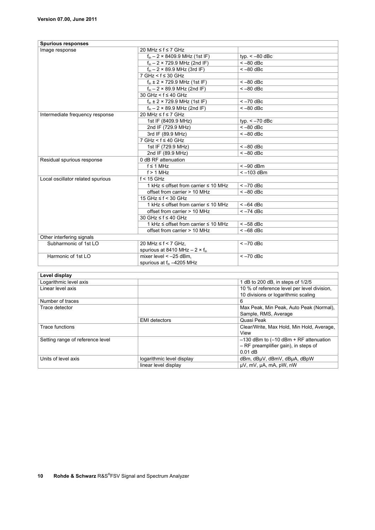| <b>Spurious responses</b>         |                                                |                      |
|-----------------------------------|------------------------------------------------|----------------------|
| Image response                    | 20 MHz $\leq$ f $\leq$ 7 GHz                   |                      |
|                                   | $f_{in}$ – 2 × 8409.9 MHz (1st IF)             | typ. $\lt$ -80 dBc   |
|                                   | $f_{in} - 2 \times 729.9$ MHz (2nd IF)         | $<-80$ dBc           |
|                                   | $f_{in} - 2 \times 89.9$ MHz (3rd IF)          | $<-80$ dBc           |
|                                   | 7 GHz $\le$ f $\le$ 30 GHz                     |                      |
|                                   | $f_{in}$ ± 2 × 729.9 MHz (1st IF)              | $<-80$ dBc           |
|                                   | $f_{in} - 2 \times 89.9$ MHz (2nd IF)          | $<-80$ dBc           |
|                                   | $30$ GHz < $f \leq 40$ GHz                     |                      |
|                                   | $f_{in}$ ± 2 × 729.9 MHz (1st IF)              | $<-70$ dBc           |
|                                   | $f_{in} - 2 \times 89.9$ MHz (2nd IF)          | $<-80$ dBc           |
| Intermediate frequency response   | 20 MHz $\leq$ f $\leq$ 7 GHz                   |                      |
|                                   | 1st IF (8409.9 MHz)                            | typ. $\lt$ $-70$ dBc |
|                                   | 2nd IF (729.9 MHz)                             | $<-80$ dBc           |
|                                   | 3rd IF (89.9 MHz)                              | $<-80$ dBc           |
|                                   | 7 GHz $\le$ f $\le$ 40 GHz                     |                      |
|                                   | 1st IF (729.9 MHz)                             | $<-80$ dBc           |
|                                   | 2nd IF (89.9 MHz)                              | $<-80$ dBc           |
| Residual spurious response        | 0 dB RF attenuation                            |                      |
|                                   | $f \leq 1$ MHz                                 | $<-90$ dBm           |
|                                   | $f > 1$ MHz                                    | $<-103$ dBm          |
| Local oscillator related spurious | $f < 15$ GHz                                   |                      |
|                                   | 1 kHz $\leq$ offset from carrier $\leq$ 10 MHz | $<-70$ dBc           |
|                                   | offset from carrier > 10 MHz                   | $<-80$ dBc           |
|                                   | 15 GHz ≤ f < 30 GHz                            |                      |
|                                   | 1 kHz ≤ offset from carrier ≤ 10 MHz           | $<-64$ dBc           |
|                                   | offset from carrier > 10 MHz                   | $<-74$ dBc           |
|                                   | 30 GHz ≤ f ≤ 40 GHz                            |                      |
|                                   | 1 kHz $\leq$ offset from carrier $\leq$ 10 MHz | $<-58$ dBc           |
|                                   | offset from carrier > 10 MHz                   | $<-68$ dBc           |
| Other interfering signals         |                                                |                      |
| Subharmonic of 1st LO             | 20 MHz $\leq$ f < 7 GHz,                       | $<-70$ dBc           |
|                                   | spurious at 8410 MHz $- 2 \times f_{in}$       |                      |
| Harmonic of 1st LO                | mixer level $\le$ -25 dBm.                     | $<-70$ dBc           |
|                                   | spurious at f <sub>in</sub> -4205 MHz          |                      |

| Level display                    |                           |                                             |
|----------------------------------|---------------------------|---------------------------------------------|
| Logarithmic level axis           |                           | 1 dB to 200 dB, in steps of 1/2/5           |
| Linear level axis                |                           | 10 % of reference level per level division. |
|                                  |                           | 10 divisions or logarithmic scaling         |
| Number of traces                 |                           | 6                                           |
| Trace detector                   |                           | Max Peak, Min Peak, Auto Peak (Normal),     |
|                                  |                           | Sample, RMS, Average                        |
|                                  | <b>EMI</b> detectors      | Quasi Peak                                  |
| Trace functions                  |                           | Clear/Write, Max Hold, Min Hold, Average.   |
|                                  |                           | View                                        |
| Setting range of reference level |                           | $-130$ dBm to $(-10$ dBm + RF attenuation   |
|                                  |                           | - RF preamplifier gain), in steps of        |
|                                  |                           | $0.01$ dB                                   |
| Units of level axis              | logarithmic level display | dBm, dBuV, dBmV, dBuA, dBpW                 |
|                                  | linear level display      | µV, mV, µA, mA, pW, nW                      |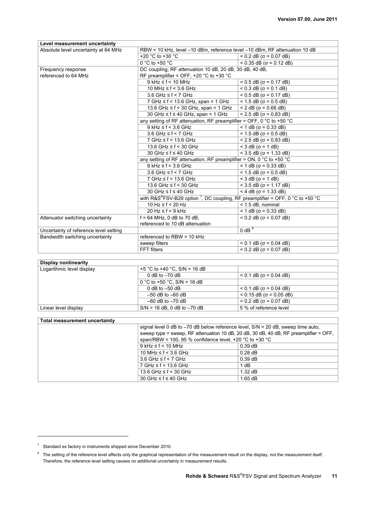| Level measurement uncertainty          |                                                                                                        |                                   |
|----------------------------------------|--------------------------------------------------------------------------------------------------------|-----------------------------------|
| Absolute level uncertainty at 64 MHz   | RBW = 10 kHz, level -10 dBm, reference level -10 dBm, RF attenuation 10 dB                             |                                   |
|                                        | +20 °C to +30 °C                                                                                       | $< 0.2$ dB ( $\sigma = 0.07$ dB)  |
|                                        | $0 °C$ to +50 $°C$                                                                                     | $< 0.35$ dB ( $\sigma = 0.12$ dB) |
| Frequency response                     | DC coupling, RF attenuation 10 dB, 20 dB, 30 dB, 40 dB,                                                |                                   |
| referenced to 64 MHz                   | RF preamplifier = OFF, $+20$ °C to $+30$ °C                                                            |                                   |
|                                        | $9$ kHz $\leq$ f < 10 MHz                                                                              | $< 0.5$ dB ( $\sigma$ = 0.17 dB)  |
|                                        | 10 MHz $\leq$ f < 3.6 GHz                                                                              | $< 0.3$ dB ( $\sigma$ = 0.1 dB)   |
|                                        | $3.6$ GHz $\leq$ f < 7 GHz                                                                             | $< 0.5$ dB ( $\sigma$ = 0.17 dB)  |
|                                        | 7 GHz ≤ f < 13.6 GHz, span < 1 GHz                                                                     | $<$ 1.5 dB ( $\sigma$ = 0.5 dB)   |
|                                        | 13.6 GHz $\leq$ f < 30 GHz, span < 1 GHz                                                               | $<$ 2 dB ( $\sigma$ = 0.66 dB)    |
|                                        | 30 GHz $\leq$ f $\leq$ 40 GHz, span < 1 GHz                                                            | $< 2.5$ dB ( $\sigma = 0.83$ dB)  |
|                                        | any setting of RF attenuation, RF preamplifier = OFF, 0 $^{\circ}$ C to +50 $^{\circ}$ C               |                                   |
|                                        | $9$ kHz $\leq$ f < 3.6 GHz                                                                             | $<$ 1 dB ( $\sigma$ = 0.33 dB)    |
|                                        | $3.6$ GHz $\leq$ f < 7 GHz                                                                             | $<$ 1.5 dB ( $\sigma$ = 0.5 dB)   |
|                                        | 7 GHz ≤ f < 13.6 GHz                                                                                   | $< 2.5$ dB ( $\sigma = 0.83$ dB)  |
|                                        | 13.6 GHz $\leq$ f < 30 GHz                                                                             | $<$ 3 dB ( $\sigma$ = 1 dB)       |
|                                        | 30 GHz ≤ $f$ ≤ 40 GHz                                                                                  | $<$ 3.5 dB ( $\sigma$ = 1.33 dB)  |
|                                        | any setting of RF attenuation, RF preamplifier = ON, 0 $^{\circ}$ C to +50 $^{\circ}$ C                |                                   |
|                                        | $9$ kHz $\leq$ f < 3.6 GHz                                                                             | $<$ 1 dB ( $\sigma$ = 0.33 dB)    |
|                                        | $3.6$ GHz $\leq$ f < 7 GHz                                                                             | $<$ 1.5 dB ( $\sigma$ = 0.5 dB)   |
|                                        | 7 GHz ≤ f < 13.6 GHz                                                                                   | $<$ 3 dB ( $\sigma$ = 1 dB)       |
|                                        | 13.6 GHz $\leq$ f < 30 GHz                                                                             | $<$ 3.5 dB ( $\sigma$ = 1.17 dB)  |
|                                        | 30 GHz $\leq$ f $\leq$ 40 GHz                                                                          | $<$ 4 dB ( $\sigma$ = 1.33 dB)    |
|                                        | with R&S <sup>®</sup> FSV-B29 option <sup>7</sup> , DC coupling, RF preamplifier = OFF, 0 °C to +50 °C |                                   |
|                                        | $10$ Hz $\leq$ f < 20 Hz                                                                               | < 1.5 dB, nominal                 |
|                                        | $20$ Hz $\leq$ f < 9 kHz                                                                               | $<$ 1 dB ( $\sigma$ = 0.33 dB)    |
| Attenuator switching uncertainty       | $f = 64$ MHz, 0 dB to 70 dB,                                                                           | $<$ 0.2 dB ( $\sigma$ = 0.07 dB)  |
|                                        | referenced to 10 dB attenuation                                                                        |                                   |
| Uncertainty of reference level setting |                                                                                                        | $0 \text{ dB}^8$                  |
| Bandwidth switching uncertainty        | referenced to RBW = 10 kHz                                                                             |                                   |
|                                        | sweep filters                                                                                          | $< 0.1$ dB ( $\sigma$ = 0.04 dB)  |
|                                        | FFT filters                                                                                            | $<$ 0.2 dB ( $\sigma$ = 0.07 dB)  |

| Display nonlinearity      |                                 |                                   |
|---------------------------|---------------------------------|-----------------------------------|
| Logarithmic level display | +5 °C to +40 °C, S/N > 16 dB    |                                   |
|                           | 0 dB to $-70$ dB                | $< 0.1$ dB ( $\sigma = 0.04$ dB)  |
|                           | 0 °C to +50 °C, $S/N > 16$ dB   |                                   |
|                           | 0 dB to $-50$ dB                | $< 0.1$ dB ( $\sigma = 0.04$ dB)  |
|                           | $-50$ dB to $-60$ dB            | $< 0.15$ dB ( $\sigma = 0.05$ dB) |
|                           | $-60$ dB to $-70$ dB            | $< 0.2$ dB ( $\sigma = 0.07$ dB)  |
| Linear level display      | $S/N > 16$ dB, 0 dB to $-70$ dB | 5 % of reference level            |

| Total measurement uncertainty |  |
|-------------------------------|--|
|                               |  |

| signal level 0 dB to $-70$ dB below reference level, $S/N > 20$ dB, sweep time auto,     |                   |
|------------------------------------------------------------------------------------------|-------------------|
| sweep type = sweep, RF attenuation 10 dB, 20 dB, 30 dB, 40 dB, RF preamplifier = $OFF$ . |                   |
| span/RBW < 100, 95 % confidence level, +20 °C to +30 °C                                  |                   |
| $9$ kHz $\leq$ f < 10 MHz                                                                | $0.39$ dB         |
| 10 MHz $\leq$ f < 3.6 GHz                                                                | $0.28$ dB         |
| $3.6$ GHz $\leq$ f $\leq$ 7 GHz                                                          | $0.39$ dB         |
| 7 GHz ≤ f < 13.6 GHz                                                                     | 1 dB              |
| $13.6$ GHz $\leq$ f < 30 GHz                                                             | $1.32 \text{ dB}$ |
| $30$ GHz ≤ f ≤ 40 GHz                                                                    | 1.65dB            |
|                                                                                          |                   |

 $7$  Standard ex factory in instruments shipped since December 2010.

 $8$  The setting of the reference level affects only the graphical representation of the measurement result on the display, not the measurement itself. Therefore, the reference level setting causes no additional uncertainty in measurement results.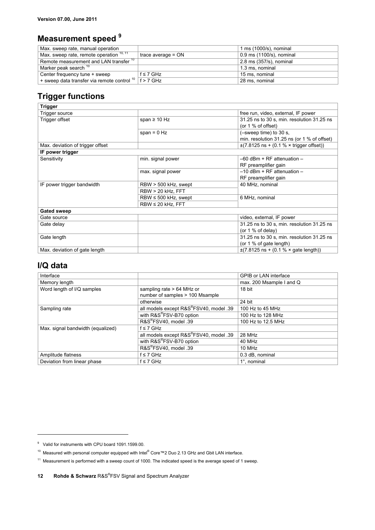# **Measurement speed 9**

| Max. sweep rate, manual operation                                   |                      | 1 ms (1000/s), nominal   |
|---------------------------------------------------------------------|----------------------|--------------------------|
| Max. sweep rate, remote operation 10, 11                            | trace average $= ON$ | 0.9 ms (1100/s), nominal |
| Remote measurement and LAN transfer <sup>10</sup>                   |                      | 2.8 ms (357/s), nominal  |
| Marker peak search <sup>10</sup>                                    |                      | 1.3 ms. nominal          |
| Center frequency tune + sweep                                       | f≤7 GHz              | 15 ms. nominal           |
| + sweep data transfer via remote control $^{10}$ $\sqrt{f}$ > 7 GHz |                      | 28 ms. nominal           |

## **Trigger functions**

| Trigger                          |                           |                                              |
|----------------------------------|---------------------------|----------------------------------------------|
| Trigger source                   |                           | free run, video, external, IF power          |
| Trigger offset                   | span $\geq$ 10 Hz         | 31.25 ns to 30 s, min. resolution 31.25 ns   |
|                                  |                           | (or 1 % of offset)                           |
|                                  | span = $0$ Hz             | (-sweep time) to 30 s,                       |
|                                  |                           | min. resolution 31.25 ns (or 1 % of offset)  |
| Max. deviation of trigger offset |                           | $\pm$ (7.8125 ns + (0.1 % × trigger offset)) |
| IF power trigger                 |                           |                                              |
| Sensitivity                      | min. signal power         | $-60$ dBm + RF attenuation $-$               |
|                                  |                           | RF preamplifier gain                         |
|                                  | max. signal power         | $-10$ dBm + RF attenuation $-$               |
|                                  |                           | RF preamplifier gain                         |
| IF power trigger bandwidth       | $RBW > 500$ kHz, swept    | 40 MHz, nominal                              |
|                                  | $RBW > 20$ kHz, FFT       |                                              |
|                                  | RBW $\leq 500$ kHz, swept | 6 MHz, nominal                               |
|                                  | $RBW \leq 20$ kHz, FFT    |                                              |
| Gated sweep                      |                           |                                              |
| Gate source                      |                           | video, external, IF power                    |
| Gate delay                       |                           | 31.25 ns to 30 s, min. resolution 31.25 ns   |
|                                  |                           | (or 1 % of delay)                            |
| Gate length                      |                           | 31.25 ns to 30 s, min. resolution 31.25 ns   |
|                                  |                           | (or 1 % of gate length)                      |
| Max. deviation of gate length    |                           | $\pm$ (7.8125 ns + (0.1 % × gate length))    |

### **I/Q data**

| Interface                         |                                        | GPIB or LAN interface    |
|-----------------------------------|----------------------------------------|--------------------------|
| Memory length                     |                                        | max. 200 Msample I and Q |
| Word length of I/Q samples        | sampling rate > 64 MHz or              | 18 bit                   |
|                                   | number of samples > 100 Msample        |                          |
|                                   | otherwise                              | 24 bit                   |
| Sampling rate                     | all models except R&S®FSV40, model .39 | 100 Hz to 45 MHz         |
|                                   | with R&S®FSV-B70 option                | 100 Hz to 128 MHz        |
|                                   | R&S®FSV40, model .39                   | 100 Hz to 12.5 MHz       |
| Max. signal bandwidth (equalized) | $f \leq 7$ GHz                         |                          |
|                                   | all models except R&S®FSV40, model .39 | 28 MHz                   |
|                                   | with R&S®FSV-B70 option                | 40 MHz                   |
|                                   | R&S®FSV40, model .39                   | 10 MHz                   |
| Amplitude flatness                | $f \leq 7$ GHz                         | 0.3 dB, nominal          |
| Deviation from linear phase       | $f \leq 7$ GHz                         | 1°. nominal              |

<sup>&</sup>lt;sup>9</sup> Valid for instruments with CPU board 1091.1599.00.

<sup>&</sup>lt;sup>10</sup> Measured with personal computer equipped with Intel<sup>®</sup> Core™2 Duo 2.13 GHz and Gbit LAN interface.

<sup>&</sup>lt;sup>11</sup> Measurement is performed with a sweep count of 1000. The indicated speed is the average speed of 1 sweep.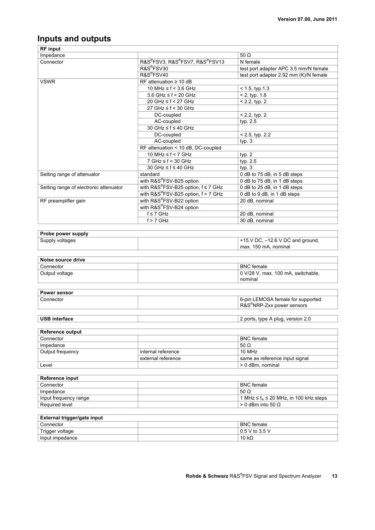# **Inputs and outputs**

| <b>RF</b> input                        |                                                       |                                        |
|----------------------------------------|-------------------------------------------------------|----------------------------------------|
| Impedance                              |                                                       | $50 \Omega$                            |
| Connector                              | R&S®FSV3, R&S®FSV7, R&S®FSV13                         | N female                               |
|                                        | R&S®FSV30                                             | test port adapter APC 3.5 mm/N female  |
|                                        | R&S®FSV40                                             | test port adapter 2.92 mm (K)/N female |
| <b>VSWR</b>                            | RF attenuation $\geq 10$ dB                           |                                        |
|                                        | 10 MHz $\leq$ f < 3.6 GHz                             | $< 1.5$ , typ. 1.3                     |
|                                        | $3.6$ GHz $\leq$ f < 20 GHz                           | $< 2$ , typ. 1.8                       |
|                                        | 20 GHz $\leq$ f < 27 GHz                              | $< 2.2$ , typ. 2                       |
|                                        | 27 GHz $\leq$ f < 30 GHz                              |                                        |
|                                        | DC-coupled                                            | $< 2.2$ , typ. 2                       |
|                                        | AC-coupled                                            | typ. 2.5                               |
|                                        | $30$ GHz $\leq$ f $\leq$ 40 GHz                       |                                        |
|                                        | DC-coupled                                            | $< 2.5$ , typ. 2.2                     |
|                                        | AC-coupled                                            | typ. $3$                               |
|                                        | RF attenuation < 10 dB, DC-coupled                    |                                        |
|                                        | 10 MHz $\leq$ f $\leq$ 7 GHz                          | typ. 2                                 |
|                                        | 7 GHz $\leq$ f < 30 GHz                               | typ. 2.5                               |
|                                        | $30$ GHz $\leq$ f $\leq$ 40 GHz                       | typ.3                                  |
| Setting range of attenuator            | standard                                              | 0 dB to 75 dB, in 5 dB steps           |
|                                        | with R&S®FSV-B25 option                               | 0 dB to 75 dB, in 1 dB steps           |
| Setting range of electronic attenuator | with $RAS^{\circledast}FSV-B25$ option, $f \le 7$ GHz | 0 dB to 25 dB, in 1 dB steps           |
|                                        | with $R\&S^{\circledast}$ FSV-B25 option, f > 7 GHz   | 0 dB to 9 dB, in 1 dB steps            |
| RF preamplifier gain                   | with R&S®FSV-B22 option                               | 20 dB, nominal                         |
|                                        | with R&S®FSV-B24 option                               |                                        |
|                                        | $f \leq 7$ GHz                                        | 20 dB, nominal                         |
|                                        | $f > 7$ GHz                                           | 30 dB, nominal                         |
|                                        |                                                       |                                        |
| Probe power supply                     |                                                       |                                        |
| Supply voltages                        |                                                       | +15 V DC, $-12.6$ V DC and ground,     |
|                                        |                                                       | max. 150 mA, nominal                   |
|                                        |                                                       |                                        |

| Noise source drive |  |                                    |
|--------------------|--|------------------------------------|
| Connector          |  | <b>BNC</b> female                  |
| Output voltage     |  | 0 V/28 V, max. 100 mA, switchable, |
|                    |  | nominal                            |

| <b>Power sensor</b>  |                                                                                         |  |
|----------------------|-----------------------------------------------------------------------------------------|--|
| Connector            | 6-pin LEMOSA female for supported<br>$\mathsf{RAS}^{\circledast}$ NRP-Zxx power sensors |  |
|                      |                                                                                         |  |
| <b>USB interface</b> | 2 ports, type A plug, version 2.0                                                       |  |

| <b>Reference output</b> |                    |                                |
|-------------------------|--------------------|--------------------------------|
| Connector               |                    | <b>BNC</b> female              |
| Impedance               |                    | 50 $\Omega$                    |
| Output frequency        | internal reference | 10 MHz                         |
|                         | external reference | same as reference input signal |
| Level                   |                    | > 0 dBm. nominal               |

| Reference input       |                                                   |  |
|-----------------------|---------------------------------------------------|--|
| Connector             | <b>BNC</b> female                                 |  |
| Impedance             | 50 $\Omega$                                       |  |
| Input frequency range | 1 MHz $\leq f_{in} \leq 20$ MHz, in 100 kHz steps |  |
| Required level        | $> 0$ dBm into 50 $\Omega$                        |  |

| External trigger/gate input |  |                   |
|-----------------------------|--|-------------------|
| Connector                   |  | <b>BNC</b> female |
| Trigger voltage             |  | $0.5$ V to 3.5 V  |
| Input impedance             |  | 10 k $\Omega$     |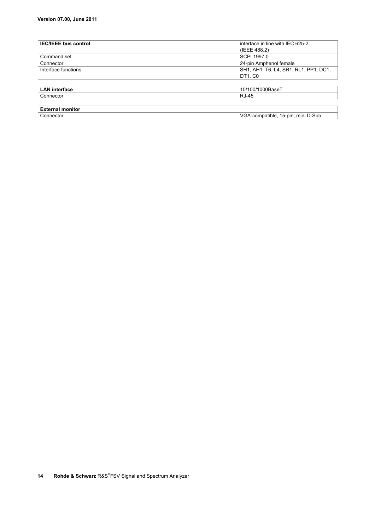| <b>IEC/IEEE bus control</b> | interface in line with IEC 625-2      |
|-----------------------------|---------------------------------------|
|                             | (IEEE 488.2)                          |
| Command set                 | SCPI 1997.0                           |
| Connector                   | 24-pin Amphenol female                |
| Interface functions         | SH1, AH1, T6, L4, SR1, RL1, PP1, DC1, |
|                             | DT1, C0                               |
|                             |                                       |
| <b>LAN</b> interface        | 10/100/1000BaseT                      |
| Connector                   | <b>RJ-45</b>                          |
|                             |                                       |
| <b>External monitor</b>     |                                       |
| Connector                   | VGA-compatible, 15-pin, mini D-Sub    |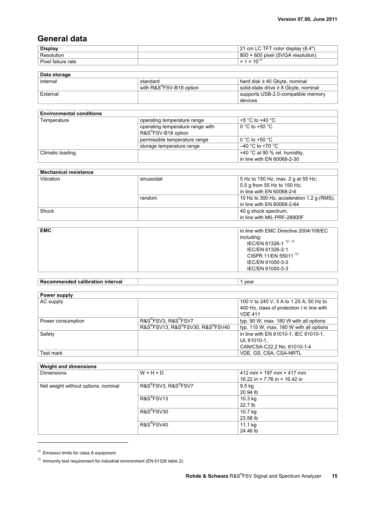# **General data**

| Dienlay               | color display (8.4")<br>ᆍ<br>cm LC<br>-21 |
|-----------------------|-------------------------------------------|
|                       | × 600 pixel (SVGA resolution)<br>800      |
| Pixel<br>tailure rate |                                           |

| Data storage |                                      |                                           |
|--------------|--------------------------------------|-------------------------------------------|
| Internal     | standard                             | hard disk $\geq 40$ Gbyte, nominal        |
|              | with R&S <sup>®</sup> FSV-B18 option | solid-state drive $\geq 8$ Gbyte, nominal |
| External     |                                      | supports USB-2.0-compatible memory        |
|              |                                      | devices                                   |

| <b>Environmental conditions</b> |                                                        |                               |
|---------------------------------|--------------------------------------------------------|-------------------------------|
| Temperature                     | operating temperature range                            | $+5$ °C to $+40$ °C           |
|                                 | operating temperature range with<br>R&S®FSV-B18 option | 0 °C to +50 $^{\circ}$ C      |
|                                 | permissible temperature range                          | 0 °C to +50 °C                |
|                                 | storage temperature range                              | $-40$ °C to +70 °C            |
| Climatic loading                |                                                        | +40 °C at 90 % rel. humidity, |
|                                 |                                                        | in line with EN 60068-2-30    |

| <b>Mechanical resistance</b> |            |                                            |
|------------------------------|------------|--------------------------------------------|
| Vibration                    | sinusoidal | 5 Hz to 150 Hz, max. 2 g at 55 Hz;         |
|                              |            | 0.5 g from 55 Hz to 150 Hz;                |
|                              |            | in line with EN 60068-2-6                  |
|                              | random     | 10 Hz to 300 Hz, acceleration 1.2 g (RMS). |
|                              |            | in line with EN 60068-2-64                 |
| Shock                        |            | 40 g shock spectrum,                       |
|                              |            | in line with MIL-PRF-28800F                |

| <b>EMC</b> | in line with EMC Directive 2004/108/EC |
|------------|----------------------------------------|
|            | including:                             |
|            | IEC/EN 61326-1 <sup>12, 13</sup>       |
|            | IEC/EN 61326-2-1                       |
|            | CISPR 11/EN 55011 <sup>12</sup>        |
|            | IEC/EN 61000-3-2                       |
|            | IEC/EN 61000-3-3                       |
|            |                                        |

| Recommended calibration interval |  | vear |
|----------------------------------|--|------|

| Power supply      |                                 |                                            |
|-------------------|---------------------------------|--------------------------------------------|
| AC supply         |                                 | 100 V to 240 V, 3 A to 1.25 A; 50 Hz to    |
|                   |                                 | 400 Hz, class of protection I in line with |
|                   |                                 | <b>VDE 411</b>                             |
| Power consumption | R&S®FSV3, R&S®FSV7              | typ. 90 W, max. 180 W with all options     |
|                   | R&S®FSV13, R&S®FSV30, R&S®FSV40 | typ. 115 W, max. 180 W with all options    |
| Safety            |                                 | in line with EN 61010-1, IEC 61010-1,      |
|                   |                                 | UL 61010-1.                                |
|                   |                                 | CAN/CSA-C22.2 No. 61010-1-4                |
| Test mark         |                                 | VDE, GS, CSA, CSA-NRTL                     |

| <b>Weight and dimensions</b>        |                        |                                        |
|-------------------------------------|------------------------|----------------------------------------|
| <b>Dimensions</b>                   | $W \times H \times D$  | 412 mm $\times$ 197 mm $\times$ 417 mm |
|                                     |                        | 16.22 in × 7.76 in × 16.42 in          |
| Net weight without options, nominal | R&S®FSV3, R&S®FSV7     | 9.5 kg                                 |
|                                     |                        | 20.94 lb                               |
|                                     | R&S®FSV13              | 10.3 kg                                |
|                                     |                        | 22.7 lb                                |
|                                     | R&S®FSV30              | 10.7 kg                                |
|                                     |                        | 23.58 lb                               |
|                                     | R&S <sup>®</sup> FSV40 | 11.1 kg                                |
|                                     |                        | 24.46 lb                               |

<sup>&</sup>lt;sup>12</sup> Emission limits for class A equipment.

 $13$  Immunity test requirement for industrial environment (EN 61326 table 2).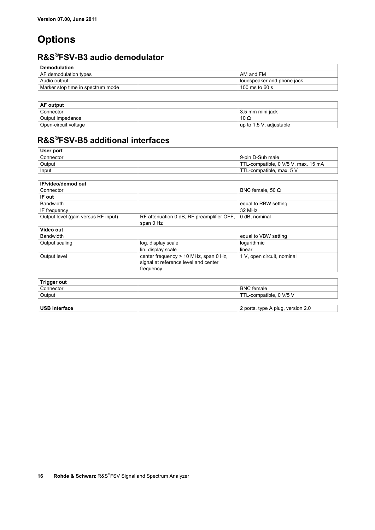# **Options**

# **R&S®FSV-B3 audio demodulator**

| AM and FM                  |
|----------------------------|
| loudspeaker and phone jack |
| 100 ms to 60 s             |
|                            |

| <b>AF output</b>     |                         |  |
|----------------------|-------------------------|--|
| Connector            | ∣ 3.5 mm mini iack      |  |
| Output impedance     | 10 $\Omega$             |  |
| Open-circuit voltage | up to 1.5 V, adjustable |  |

# **R&S®FSV-B5 additional interfaces**

| User port        |                                     |  |
|------------------|-------------------------------------|--|
| <b>Connector</b> | 9-pin D-Sub male                    |  |
| Output           | TTL-compatible, 0 V/5 V, max. 15 mA |  |
| Input            | TTL-compatible, max. 5 V            |  |

| IF/video/demod out                  |                                           |                            |
|-------------------------------------|-------------------------------------------|----------------------------|
| Connector                           |                                           | BNC female, 50 $\Omega$    |
| IF out                              |                                           |                            |
| <b>Bandwidth</b>                    |                                           | equal to RBW setting       |
| IF frequency                        |                                           | 32 MHz                     |
| Output level (gain versus RF input) | RF attenuation 0 dB, RF preamplifier OFF, | 0 dB, nominal              |
|                                     | span 0 Hz                                 |                            |
| Video out                           |                                           |                            |
| <b>Bandwidth</b>                    |                                           | equal to VBW setting       |
| Output scaling                      | log. display scale                        | logarithmic                |
|                                     | lin. display scale                        | linear                     |
| Output level                        | center frequency > 10 MHz, span 0 Hz,     | 1 V, open circuit, nominal |
|                                     | signal at reference level and center      |                            |
|                                     | frequency                                 |                            |
|                                     |                                           |                            |

| Trigger out          |                                   |  |
|----------------------|-----------------------------------|--|
| Connector            | <b>BNC</b> female                 |  |
| Output               | TTL-compatible, 0 V/5 V           |  |
|                      |                                   |  |
| <b>USB interface</b> | 2 ports, type A plug, version 2.0 |  |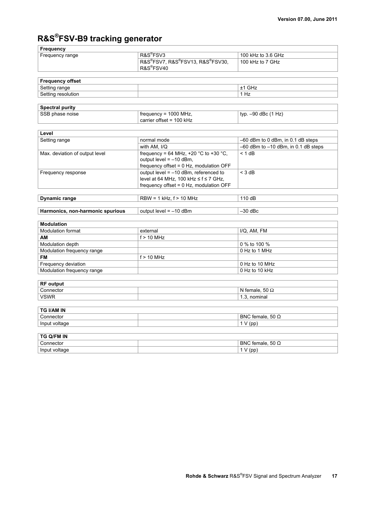٦

# **R&S®FSV-B9 tracking generator**

| Frequency       |                                                           |                    |
|-----------------|-----------------------------------------------------------|--------------------|
| Frequency range | R&S <sup>®</sup> FSV3                                     | 100 kHz to 3.6 GHz |
|                 | R&S®FSV7, R&S®FSV13, R&S®FSV30,<br>R&S <sup>®</sup> FSV40 | 100 kHz to 7 GHz   |
|                 |                                                           |                    |

| Frequency offset |  |             |
|------------------|--|-------------|
| nn ac<br>ישו     |  | ' GHz<br>±1 |
| resolution       |  | Hz          |

| <b>Spectral purity</b> |                                     |                         |  |
|------------------------|-------------------------------------|-------------------------|--|
| SSB phase noise        | $\frac{1}{2}$ frequency = 1000 MHz, | ' typ. –90 dBc (1 Hz) ∣ |  |
|                        | carrier offset = $100$ kHz          |                         |  |

| Level                          |                                           |                                         |
|--------------------------------|-------------------------------------------|-----------------------------------------|
| Setting range                  | normal mode                               | $-60$ dBm to 0 dBm, in 0.1 dB steps     |
|                                | with AM, I/Q                              | $-60$ dBm to $-10$ dBm, in 0.1 dB steps |
| Max. deviation of output level | frequency = 64 MHz, $+20$ °C to $+30$ °C. | $< 1$ dB                                |
|                                | output level $= -10$ dBm,                 |                                         |
|                                | frequency offset = $0$ Hz, modulation OFF |                                         |
| Frequency response             | output level $= -10$ dBm, referenced to   | $<$ 3 dB                                |
|                                | level at 64 MHz, 100 kHz ≤ $f$ ≤ 7 GHz,   |                                         |
|                                | frequency offset = $0$ Hz, modulation OFF |                                         |
|                                |                                           |                                         |
| Dynamic range                  | $RBW = 1 kHz, f > 10 MHz$                 | 110dB                                   |

| Harmonics, non-harmonic spurious | output level = $-10$ dBm | –30 dBc |
|----------------------------------|--------------------------|---------|
|----------------------------------|--------------------------|---------|

| <b>Modulation</b>          |              |                  |
|----------------------------|--------------|------------------|
| Modulation format          | external     | I/Q, AM, FM      |
| АM                         | $f > 10$ MHz |                  |
| Modulation depth           |              | 0 % to 100 %     |
| Modulation frequency range |              | 0 Hz to 1 MHz    |
| FM                         | $f > 10$ MHz |                  |
| Frequency deviation        |              | 0 Hz to 10 MHz   |
| Modulation frequency range |              | $0$ Hz to 10 kHz |

| л. |
|----|
|    |

| $\overline{\phantom{0}}$<br>$. \n0.00000000$<br>лσ | $-\sim$<br>N<br>. .<br>naie<br>50 S.Z<br> |
|----------------------------------------------------|-------------------------------------------|
| <b>VSWF</b>                                        | nomina<br>illidi<br>.                     |

#### **TG I/AM IN**

| - -<br>∽<br>BNC<br>onn<br>; temale.<br>JOF.<br>גע טכ |  |
|------------------------------------------------------|--|
| Input<br>(nr                                         |  |

# **TG Q/FM IN**

| $\sim$<br>Connector | BNC female, 50 $\Omega$ |
|---------------------|-------------------------|
| Input voltage       | (pp                     |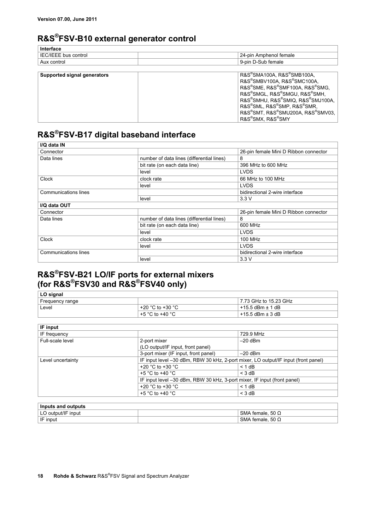# **R&S®FSV-B10 external generator control**

| Interface                   |                                                                                                                                                                                                                                                     |
|-----------------------------|-----------------------------------------------------------------------------------------------------------------------------------------------------------------------------------------------------------------------------------------------------|
| IEC/IEEE bus control        | 24-pin Amphenol female                                                                                                                                                                                                                              |
| Aux control                 | 9-pin D-Sub female                                                                                                                                                                                                                                  |
|                             |                                                                                                                                                                                                                                                     |
| Supported signal generators | R&S®SMA100A, R&S®SMB100A,<br>R&S®SMBV100A, R&S®SMC100A,<br>R&S®SME, R&S®SMF100A, R&S®SMG,<br>R&S®SMGL, R&S®SMGU, R&S®SMH,<br>R&S®SMHU, R&S®SMIQ, R&S®SMJ100A,<br>R&S®SML, R&S®SMP, R&S®SMR,<br>R&S®SMT, R&S®SMU200A, R&S®SMV03,<br>R&S®SMX, R&S®SMY |

# **R&S®FSV-B17 digital baseband interface**

| I/Q data IN          |                                           |                                       |
|----------------------|-------------------------------------------|---------------------------------------|
| Connector            |                                           | 26-pin female Mini D Ribbon connector |
| Data lines           | number of data lines (differential lines) | 8                                     |
|                      | bit rate (on each data line)              | 396 MHz to 600 MHz                    |
|                      | level                                     | <b>LVDS</b>                           |
| Clock                | clock rate                                | 66 MHz to 100 MHz                     |
|                      | level                                     | <b>LVDS</b>                           |
| Communications lines |                                           | bidirectional 2-wire interface        |
|                      | level                                     | 3.3V                                  |
| I/Q data OUT         |                                           |                                       |
| Connector            |                                           | 26-pin female Mini D Ribbon connector |
| Data lines           | number of data lines (differential lines) | 8                                     |
|                      | bit rate (on each data line)              | 600 MHz                               |
|                      | level                                     | <b>LVDS</b>                           |
| <b>Clock</b>         | clock rate                                | 100 MHz                               |
|                      | level                                     | <b>LVDS</b>                           |
| Communications lines |                                           | bidirectional 2-wire interface        |
|                      | level                                     | 3.3V                                  |

### **R&S®FSV-B21 LO/IF ports for external mixers (for R&S®FSV30 and R&S®FSV40 only)**

| LO signal       |                                      |                        |
|-----------------|--------------------------------------|------------------------|
| Frequency range |                                      | 7.73 GHz to 15.23 GHz  |
| Level           | +20 $^{\circ}$ C to +30 $^{\circ}$ C | $+15.5$ dBm $\pm$ 1 dB |
|                 | +5 °C to +40 °C                      | $+15.5$ dBm $\pm$ 3 dB |

|                                                                                    | 729.9 MHz |
|------------------------------------------------------------------------------------|-----------|
| 2-port mixer                                                                       | $-20$ dBm |
| (LO output/IF input, front panel)                                                  |           |
| 3-port mixer (IF input, front panel)                                               | $-20$ dBm |
| IF input level -30 dBm, RBW 30 kHz, 2-port mixer, LO output/IF input (front panel) |           |
| +20 $^{\circ}$ C to +30 $^{\circ}$ C                                               | $< 1$ dB  |
| $+5$ °C to $+40$ °C                                                                | $<$ 3 dB  |
| IF input level -30 dBm, RBW 30 kHz, 3-port mixer, IF input (front panel)           |           |
| +20 $^{\circ}$ C to +30 $^{\circ}$ C                                               | $< 1$ dB  |
| $+5$ °C to $+40$ °C                                                                | $<$ 3 dB  |
|                                                                                    |           |

| Inputs and outputs |                                   |  |
|--------------------|-----------------------------------|--|
| LO output/IF input | SMA female. 50 $\Omega$           |  |
| IF input           | female, 50 $\Omega$<br><b>SMA</b> |  |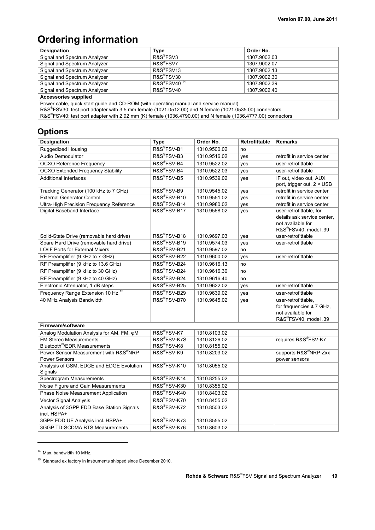# **Ordering information**

| <b>Designation</b>                                                                   | Type                                 | Order No.    |  |
|--------------------------------------------------------------------------------------|--------------------------------------|--------------|--|
| Signal and Spectrum Analyzer                                                         | R&S <sup>®</sup> FSV3                | 1307.9002.03 |  |
| Signal and Spectrum Analyzer                                                         | R&S <sup>®</sup> FSV7                | 1307.9002.07 |  |
| Signal and Spectrum Analyzer                                                         | R&S <sup>®</sup> FSV13               | 1307.9002.13 |  |
| Signal and Spectrum Analyzer                                                         | R&S <sup>®</sup> FSV30               | 1307.9002.30 |  |
| Signal and Spectrum Analyzer                                                         | R&S <sup>®</sup> FSV40 <sup>14</sup> | 1307.9002.39 |  |
| Signal and Spectrum Analyzer                                                         | R&S <sup>®</sup> FSV40               | 1307.9002.40 |  |
| <b>Accessories supplied</b>                                                          |                                      |              |  |
| Dower cable, quick start quide and CD DOM (with operating manual and service manual) |                                      |              |  |

Power cable, quick start guide and CD-ROM (with operating manual and service manual)

R&S® FSV30: test port adapter with 3.5 mm female (1021.0512.00) and N female (1021.0535.00) connectors

R&S<sup>®</sup>FSV40: test port adapter with 2.92 mm (K) female (1036.4790.00) and N female (1036.4777.00) connectors

# **Options**

| Designation                                                         | <b>Type</b> | Order No.                    | Retrofittable | <b>Remarks</b>                            |
|---------------------------------------------------------------------|-------------|------------------------------|---------------|-------------------------------------------|
| Ruggedized Housing                                                  | R&S®FSV-B1  | 1310.9500.02                 | no            |                                           |
| Audio Demodulator                                                   | R&S®FSV-B3  | 1310.9516.02                 | yes           | retrofit in service center                |
| <b>OCXO Reference Frequency</b>                                     | R&S®FSV-B4  | 1310.9522.02                 | yes           | user-retrofittable                        |
| <b>OCXO Extended Frequency Stability</b>                            | R&S®FSV-B4  | 1310.9522.03                 | yes           | user-retrofittable                        |
| <b>Additional Interfaces</b>                                        | R&S®FSV-B5  | 1310.9539.02                 | yes           | IF out, video out, AUX                    |
|                                                                     |             |                              |               | port, trigger out, 2 × USB                |
| Tracking Generator (100 kHz to 7 GHz)                               | R&S®FSV-B9  | 1310.9545.02                 | yes           | retrofit in service center                |
| <b>External Generator Control</b>                                   | R&S®FSV-B10 | 1310.9551.02                 | yes           | retrofit in service center                |
| Ultra-High Precision Frequency Reference                            | R&S®FSV-B14 | 1310.9980.02                 | yes           | retrofit in service center                |
| Digital Baseband Interface                                          | R&S®FSV-B17 | 1310.9568.02                 | yes           | user-retrofittable, for                   |
|                                                                     |             |                              |               | details ask service center,               |
|                                                                     |             |                              |               | not available for<br>R&S®FSV40, model .39 |
| Solid-State Drive (removable hard drive)                            | R&S®FSV-B18 | 1310.9697.03                 | yes           | user-retrofittable                        |
| Spare Hard Drive (removable hard drive)                             | R&S®FSV-B19 | 1310.9574.03                 | yes           | user-retrofittable                        |
| LO/IF Ports for External Mixers                                     | R&S®FSV-B21 | 1310.9597.02                 | no            |                                           |
| RF Preamplifier (9 kHz to 7 GHz)                                    | R&S®FSV-B22 | 1310.9600.02                 | yes           | user-retrofittable                        |
| RF Preamplifier (9 kHz to 13.6 GHz)                                 | R&S®FSV-B24 | 1310.9616.13                 | no            |                                           |
| RF Preamplifier (9 kHz to 30 GHz)                                   | R&S®FSV-B24 | 1310.9616.30                 | no            |                                           |
| RF Preamplifier (9 kHz to 40 GHz)                                   | R&S®FSV-B24 | 1310.9616.40                 | no            |                                           |
| Electronic Attenuator, 1 dB steps                                   | R&S®FSV-B25 | 1310.9622.02                 | yes           | user-retrofittable                        |
| Frequency Range Extension 10 Hz <sup>15</sup>                       | R&S®FSV-B29 | 1310.9639.02                 | yes           | user-retrofittable                        |
| 40 MHz Analysis Bandwidth                                           | R&S®FSV-B70 | 1310.9645.02                 | yes           | user-retrofittable,                       |
|                                                                     |             |                              |               | for frequencies $\leq 7$ GHz,             |
|                                                                     |             |                              |               | not available for                         |
|                                                                     |             |                              |               | R&S®FSV40, model .39                      |
| Firmware/software                                                   | R&S®FSV-K7  |                              |               |                                           |
| Analog Modulation Analysis for AM, FM, φM<br>FM Stereo Measurements | R&S®FSV-K7S | 1310.8103.02<br>1310.8126.02 |               | requires R&S®FSV-K7                       |
| Bluetooth <sup>®</sup> /EDR Measurements                            | R&S®FSV-K8  | 1310.8155.02                 |               |                                           |
| Power Sensor Measurement with R&S®NRP                               | R&S®FSV-K9  | 1310.8203.02                 |               | supports R&S®NRP-Zxx                      |
| <b>Power Sensors</b>                                                |             |                              |               | power sensors                             |
| Analysis of GSM, EDGE and EDGE Evolution                            | R&S®FSV-K10 | 1310.8055.02                 |               |                                           |
| Signals                                                             |             |                              |               |                                           |
| Spectrogram Measurements                                            | R&S®FSV-K14 | 1310.8255.02                 |               |                                           |
| Noise Figure and Gain Measurements                                  | R&S®FSV-K30 | 1310.8355.02                 |               |                                           |
| Phase Noise Measurement Application                                 | R&S®FSV-K40 | 1310.8403.02                 |               |                                           |
| Vector Signal Analysis                                              | R&S®FSV-K70 | 1310.8455.02                 |               |                                           |
| Analysis of 3GPP FDD Base Station Signals                           | R&S®FSV-K72 | 1310.8503.02                 |               |                                           |
| incl. HSPA+                                                         |             |                              |               |                                           |
| 3GPP FDD UE Analysis incl. HSPA+                                    | R&S®FSV-K73 | 1310.8555.02                 |               |                                           |
| 3GGP TD-SCDMA BTS Measurements                                      | R&S®FSV-K76 | 1310.8603.02                 |               |                                           |

<sup>14</sup> Max. bandwidth 10 MHz.

 $^{15}$  Standard ex factory in instruments shipped since December 2010.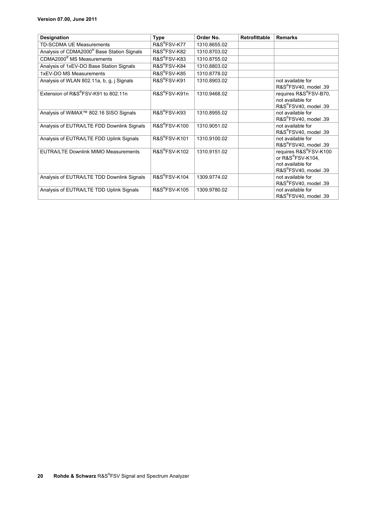| Designation                                            | <b>Type</b>              | Order No.    | <b>Retrofittable</b> | <b>Remarks</b>                            |
|--------------------------------------------------------|--------------------------|--------------|----------------------|-------------------------------------------|
| <b>TD-SCDMA UE Measurements</b>                        | R&S <sup>®</sup> FSV-K77 | 1310.8655.02 |                      |                                           |
| Analysis of CDMA2000 <sup>®</sup> Base Station Signals | R&S <sup>®</sup> FSV-K82 | 1310.8703.02 |                      |                                           |
| CDMA2000 <sup>®</sup> MS Measurements                  | R&S®FSV-K83              | 1310.8755.02 |                      |                                           |
| Analysis of 1xEV-DO Base Station Signals               | R&S <sup>®</sup> FSV-K84 | 1310.8803.02 |                      |                                           |
| 1xEV-DO MS Measurements                                | R&S <sup>®</sup> FSV-K85 | 1310.8778.02 |                      |                                           |
| Analysis of WLAN 802.11a, b, g, j Signals              | R&S®FSV-K91              | 1310.8903.02 |                      | not available for<br>R&S®FSV40, model .39 |
| Extension of R&S®FSV-K91 to 802.11n                    | R&S®FSV-K91n             | 1310.9468.02 |                      | requires R&S®FSV-B70,                     |
|                                                        |                          |              |                      | not available for                         |
|                                                        |                          |              |                      | R&S®FSV40, model .39                      |
| Analysis of WiMAX™ 802.16 SISO Signals                 | R&S®FSV-K93              | 1310.8955.02 |                      | not available for                         |
|                                                        |                          |              |                      | R&S®FSV40, model .39                      |
| Analysis of EUTRA/LTE FDD Downlink Signals             | <b>R&amp;S®FSV-K100</b>  | 1310.9051.02 |                      | not available for                         |
|                                                        |                          |              |                      | R&S®FSV40, model .39                      |
| Analysis of EUTRA/LTE FDD Uplink Signals               | R&S®FSV-K101             | 1310.9100.02 |                      | not available for                         |
|                                                        |                          |              |                      | R&S®FSV40, model .39                      |
| EUTRA/LTE Downlink MIMO Measurements                   | R&S®FSV-K102             | 1310.9151.02 |                      | requires R&S®FSV-K100                     |
|                                                        |                          |              |                      | or R&S®FSV-K104,                          |
|                                                        |                          |              |                      | not available for                         |
|                                                        |                          |              |                      | R&S®FSV40, model .39                      |
| Analysis of EUTRA/LTE TDD Downlink Signals             | R&S®FSV-K104             | 1309.9774.02 |                      | not available for                         |
|                                                        |                          |              |                      | R&S®FSV40, model .39                      |
| Analysis of EUTRA/LTE TDD Uplink Signals               | R&S®FSV-K105             | 1309.9780.02 |                      | not available for                         |
|                                                        |                          |              |                      | R&S®FSV40, model .39                      |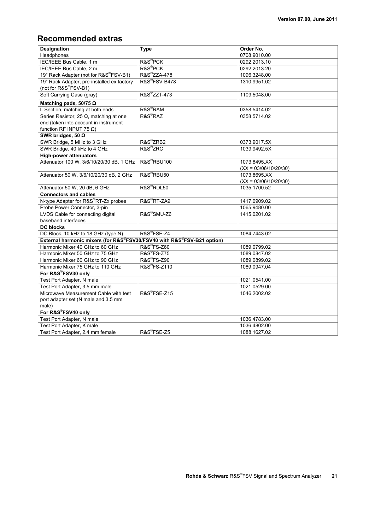## **Recommended extras**

| Designation                                                            | <b>Type</b>             | Order No.               |  |  |  |
|------------------------------------------------------------------------|-------------------------|-------------------------|--|--|--|
| Headphones                                                             |                         | 0708.9010.00            |  |  |  |
| IEC/IEEE Bus Cable, 1 m                                                | <b>R&amp;S®PCK</b>      | 0292.2013.10            |  |  |  |
| IEC/IEEE Bus Cable, 2 m                                                | R&S®PCK                 | 0292.2013.20            |  |  |  |
| 19" Rack Adapter (not for R&S®FSV-B1)                                  | R&S®ZZA-478             | 1096.3248.00            |  |  |  |
| 19" Rack Adapter, pre-installed ex factory                             | R&S®FSV-B478            | 1310.9951.02            |  |  |  |
| (not for R&S®FSV-B1)                                                   |                         |                         |  |  |  |
| Soft Carrying Case (gray)                                              | R&S®ZZT-473             | 1109.5048.00            |  |  |  |
| Matching pads, 50/75 $\Omega$                                          |                         |                         |  |  |  |
| L Section, matching at both ends                                       | R&S <sup>®</sup> RAM    | 0358.5414.02            |  |  |  |
| Series Resistor, 25 $\Omega$ , matching at one                         | R&S <sup>®</sup> RAZ    | 0358.5714.02            |  |  |  |
| end (taken into account in instrument                                  |                         |                         |  |  |  |
| function RF INPUT 75 $\Omega$ )                                        |                         |                         |  |  |  |
| SWR bridges, 50 $\Omega$                                               |                         |                         |  |  |  |
| SWR Bridge, 5 MHz to 3 GHz                                             | R&S®ZRB2                | 0373.9017.5X            |  |  |  |
| SWR Bridge, 40 kHz to 4 GHz                                            | R&S®ZRC                 | 1039.9492.5X            |  |  |  |
| <b>High-power attenuators</b>                                          |                         |                         |  |  |  |
| Attenuator 100 W, 3/6/10/20/30 dB, 1 GHz                               | <b>R&amp;S®RBU100</b>   | 1073.8495.XX            |  |  |  |
|                                                                        |                         | $(XX = 03/06/10/20/30)$ |  |  |  |
| Attenuator 50 W, 3/6/10/20/30 dB, 2 GHz                                | R&S <sup>®</sup> RBU50  | 1073.8695.XX            |  |  |  |
|                                                                        |                         | $(XX = 03/06/10/20/30)$ |  |  |  |
| Attenuator 50 W, 20 dB, 6 GHz                                          | R&S <sup>®</sup> RDL50  | 1035.1700.52            |  |  |  |
| <b>Connectors and cables</b>                                           |                         |                         |  |  |  |
| N-type Adapter for R&S®RT-Zx probes                                    | R&S <sup>®</sup> RT-ZA9 | 1417.0909.02            |  |  |  |
| Probe Power Connector, 3-pin                                           |                         | 1065.9480.00            |  |  |  |
| LVDS Cable for connecting digital                                      | R&S <sup>®</sup> SMU-Z6 | 1415.0201.02            |  |  |  |
| baseband interfaces                                                    |                         |                         |  |  |  |
| <b>DC blocks</b>                                                       |                         |                         |  |  |  |
| DC Block, 10 kHz to 18 GHz (type N)                                    | R&S®FSE-Z4              | 1084.7443.02            |  |  |  |
| External harmonic mixers (for R&S®FSV30/FSV40 with R&S®FSV-B21 option) |                         |                         |  |  |  |
| Harmonic Mixer 40 GHz to 60 GHz                                        | R&S®FS-Z60              | 1089.0799.02            |  |  |  |
| Harmonic Mixer 50 GHz to 75 GHz                                        | <b>R&amp;S®FS-Z75</b>   | 1089.0847.02            |  |  |  |
| Harmonic Mixer 60 GHz to 90 GHz                                        | <b>R&amp;S®FS-Z90</b>   | 1089.0899.02            |  |  |  |
| Harmonic Mixer 75 GHz to 110 GHz                                       | R&S®FS-Z110             | 1089.0947.04            |  |  |  |
| For R&S®FSV30 only                                                     |                         |                         |  |  |  |
| Test Port Adapter, N male                                              |                         | 1021.0541.00            |  |  |  |
| Test Port Adapter, 3.5 mm male                                         |                         | 1021.0529.00            |  |  |  |
| Microwave Measurement Cable with test                                  | R&S®FSE-Z15             | 1046.2002.02            |  |  |  |
| port adapter set (N male and 3.5 mm                                    |                         |                         |  |  |  |
| male)                                                                  |                         |                         |  |  |  |
| For R&S®FSV40 only                                                     |                         |                         |  |  |  |
| Test Port Adapter, N male                                              |                         | 1036.4783.00            |  |  |  |
| Test Port Adapter, K male                                              |                         | 1036.4802.00            |  |  |  |
| Test Port Adapter, 2.4 mm female                                       | R&S®FSE-Z5              | 1088.1627.02            |  |  |  |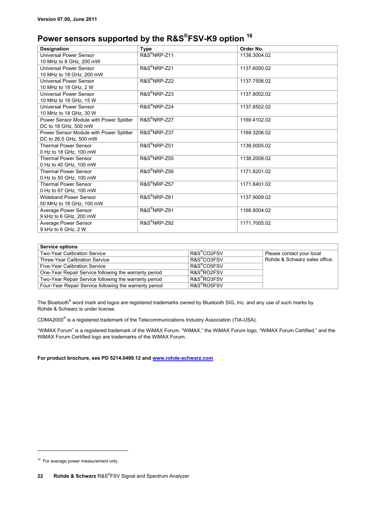# **Power sensors supported by the R&S®FSV-K9 option 16**

| Designation                             | <b>Type</b>              | Order No.    |
|-----------------------------------------|--------------------------|--------------|
| <b>Universal Power Sensor</b>           | R&S <sup>®</sup> NRP-Z11 | 1138.3004.02 |
| 10 MHz to 8 GHz, 200 mW                 |                          |              |
| <b>Universal Power Sensor</b>           | R&S <sup>®</sup> NRP-Z21 | 1137.6000.02 |
| 10 MHz to 18 GHz, 200 mW                |                          |              |
| <b>Universal Power Sensor</b>           | R&S <sup>®</sup> NRP-Z22 | 1137.7506.02 |
| 10 MHz to 18 GHz, 2 W                   |                          |              |
| Universal Power Sensor                  | R&S <sup>®</sup> NRP-Z23 | 1137.8002.02 |
| 10 MHz to 18 GHz, 15 W                  |                          |              |
| <b>Universal Power Sensor</b>           | R&S <sup>®</sup> NRP-Z24 | 1137.8502.02 |
| 10 MHz to 18 GHz, 30 W                  |                          |              |
| Power Sensor Module with Power Splitter | R&S <sup>®</sup> NRP-Z27 | 1169.4102.02 |
| DC to 18 GHz, 500 mW                    |                          |              |
| Power Sensor Module with Power Splitter | R&S <sup>®</sup> NRP-Z37 | 1169.3206.02 |
| DC to 26.5 GHz, 500 mW                  |                          |              |
| <b>Thermal Power Sensor</b>             | R&S <sup>®</sup> NRP-Z51 | 1138.0005.02 |
| 0 Hz to 18 GHz, 100 mW                  |                          |              |
| <b>Thermal Power Sensor</b>             | R&S <sup>®</sup> NRP-Z55 | 1138.2008.02 |
| 0 Hz to 40 GHz, 100 mW                  |                          |              |
| <b>Thermal Power Sensor</b>             | R&S <sup>®</sup> NRP-Z56 | 1171.8201.02 |
| 0 Hz to 50 GHz, 100 mW                  |                          |              |
| <b>Thermal Power Sensor</b>             | R&S <sup>®</sup> NRP-Z57 | 1171.8401.02 |
| 0 Hz to 67 GHz, 100 mW                  |                          |              |
| <b>Wideband Power Sensor</b>            | R&S <sup>®</sup> NRP-Z81 | 1137.9009.02 |
| 50 MHz to 18 GHz, 100 mW                |                          |              |
| Average Power Sensor                    | R&S <sup>®</sup> NRP-Z91 | 1168.8004.02 |
| 9 kHz to 6 GHz, 200 mW                  |                          |              |
| Average Power Sensor                    | R&S <sup>®</sup> NRP-Z92 | 1171.7005.02 |
| 9 kHz to 6 GHz, 2 W                     |                          |              |

| <b>Service options</b>                                 |                                      |                               |
|--------------------------------------------------------|--------------------------------------|-------------------------------|
| <b>Two-Year Calibration Service</b>                    | R&S <sup>®</sup> CO2FSV              | Please contact your local     |
| <b>Three-Year Calibration Service</b>                  | R&S <sup>®</sup> CO3FSV              | Rohde & Schwarz sales office. |
| Five-Year Calibration Service                          | R&S <sup>®</sup> CO5FSV              |                               |
| One-Year Repair Service following the warranty period  | R&S <sup>®</sup> RO <sub>2</sub> FSV |                               |
| Two-Year Repair Service following the warranty period  | R&S®RO3FSV                           |                               |
| Four-Year Repair Service following the warranty period | R&S <sup>®</sup> RO5FSV              |                               |

The Bluetooth<sup>®</sup> word mark and logos are registered trademarks owned by Bluetooth SIG, Inc. and any use of such marks by Rohde & Schwarz is under license.

CDMA2000® is a registered trademark of the Telecommunications Industry Association (TIA-USA).

"WiMAX Forum" is a registered trademark of the WiMAX Forum. "WiMAX," the WiMAX Forum logo, "WiMAX Forum Certified," and the WiMAX Forum Certified logo are trademarks of the WiMAX Forum.

**For product brochure, see PD 5214.0499.12 and www.rohde-schwarz.com**

<sup>&</sup>lt;sup>16</sup> For average power measurement only.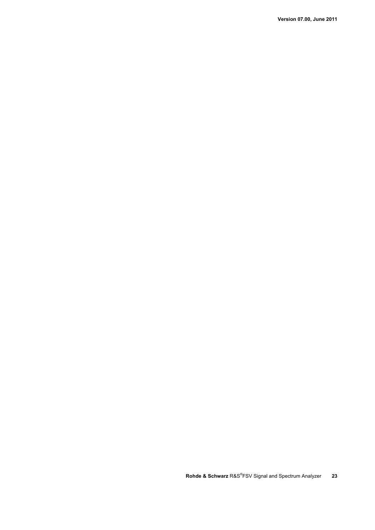**Version 07.00, June 2011**